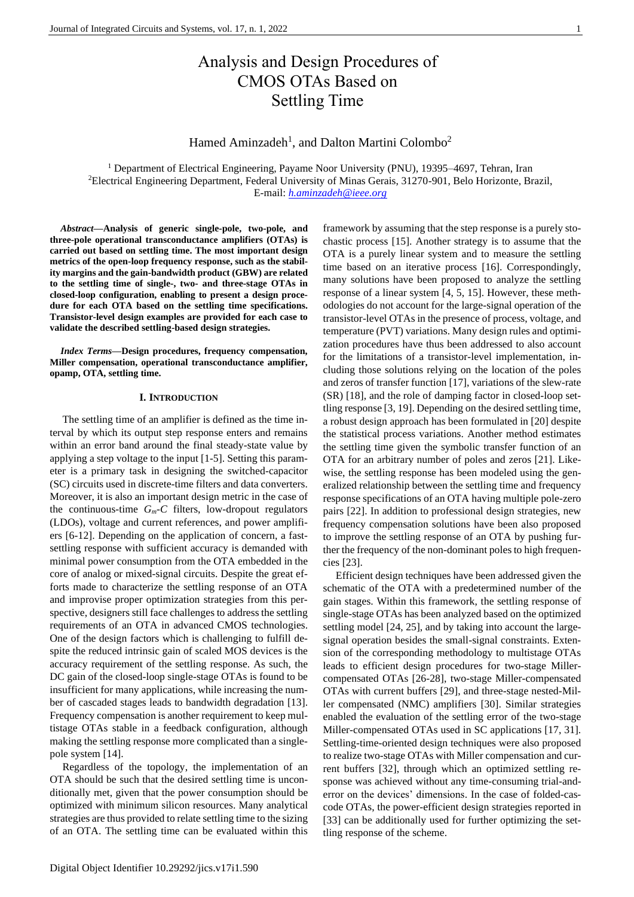# Analysis and Design Procedures of CMOS OTAs Based on Settling Time

Hamed Aminzadeh<sup>1</sup>, and Dalton Martini Colombo<sup>2</sup>

<sup>1</sup> Department of Electrical Engineering, Payame Noor University (PNU), 19395-4697, Tehran, Iran <sup>2</sup>Electrical Engineering Department, Federal University of Minas Gerais, 31270-901, Belo Horizonte, Brazil, E-mail: *[h.aminzadeh@ieee.org](mailto:h.aminzadeh@ieee.org)*

*Abstract***—Analysis of generic single-pole, two-pole, and three-pole operational transconductance amplifiers (OTAs) is carried out based on settling time. The most important design metrics of the open-loop frequency response, such as the stability margins and the gain-bandwidth product (GBW) are related to the settling time of single-, two- and three-stage OTAs in closed-loop configuration, enabling to present a design procedure for each OTA based on the settling time specifications. Transistor-level design examples are provided for each case to validate the described settling-based design strategies.**

*Index Terms***—Design procedures, frequency compensation, Miller compensation, operational transconductance amplifier, opamp, OTA, settling time.**

# **I. INTRODUCTION**

The settling time of an amplifier is defined as the time interval by which its output step response enters and remains within an error band around the final steady-state value by applying a step voltage to the input [\[1-5\]](#page-9-0). Setting this parameter is a primary task in designing the switched-capacitor (SC) circuits used in discrete-time filters and data converters. Moreover, it is also an important design metric in the case of the continuous-time  $G_m - C$  filters, low-dropout regulators (LDOs), voltage and current references, and power amplifiers [\[6-12\]](#page-10-0). Depending on the application of concern, a fastsettling response with sufficient accuracy is demanded with minimal power consumption from the OTA embedded in the core of analog or mixed-signal circuits. Despite the great efforts made to characterize the settling response of an OTA and improvise proper optimization strategies from this perspective, designers still face challenges to address the settling requirements of an OTA in advanced CMOS technologies. One of the design factors which is challenging to fulfill despite the reduced intrinsic gain of scaled MOS devices is the accuracy requirement of the settling response. As such, the DC gain of the closed-loop single-stage OTAs is found to be insufficient for many applications, while increasing the number of cascaded stages leads to bandwidth degradation [\[13\]](#page-10-1). Frequency compensation is another requirement to keep multistage OTAs stable in a feedback configuration, although making the settling response more complicated than a singlepole system [\[14\]](#page-10-2).

Regardless of the topology, the implementation of an OTA should be such that the desired settling time is unconditionally met, given that the power consumption should be optimized with minimum silicon resources. Many analytical strategies are thus provided to relate settling time to the sizing of an OTA. The settling time can be evaluated within this framework by assuming that the step response is a purely stochastic process [\[15\]](#page-10-3). Another strategy is to assume that the OTA is a purely linear system and to measure the settling time based on an iterative process [\[16\]](#page-10-4). Correspondingly, many solutions have been proposed to analyze the settling response of a linear system [\[4,](#page-10-5) [5,](#page-10-6) [15\]](#page-10-3). However, these methodologies do not account for the large-signal operation of the transistor-level OTAs in the presence of process, voltage, and temperature (PVT) variations. Many design rules and optimization procedures have thus been addressed to also account for the limitations of a transistor-level implementation, including those solutions relying on the location of the poles and zeros of transfer function [\[17\]](#page-10-7), variations of the slew-rate (SR) [\[18\]](#page-10-8), and the role of damping factor in closed-loop settling response [\[3,](#page-9-1) [19\]](#page-10-9). Depending on the desired settling time, a robust design approach has been formulated in [\[20\]](#page-10-10) despite the statistical process variations. Another method estimates the settling time given the symbolic transfer function of an OTA for an arbitrary number of poles and zeros [\[21\]](#page-10-11). Likewise, the settling response has been modeled using the generalized relationship between the settling time and frequency response specifications of an OTA having multiple pole-zero pairs [\[22\]](#page-10-12). In addition to professional design strategies, new frequency compensation solutions have been also proposed to improve the settling response of an OTA by pushing further the frequency of the non-dominant poles to high frequencies [\[23\]](#page-10-13).

Efficient design techniques have been addressed given the schematic of the OTA with a predetermined number of the gain stages. Within this framework, the settling response of single-stage OTAs has been analyzed based on the optimized settling model [\[24,](#page-10-14) [25\]](#page-10-15), and by taking into account the largesignal operation besides the small-signal constraints. Extension of the corresponding methodology to multistage OTAs leads to efficient design procedures for two-stage Millercompensated OTAs [\[26-28\]](#page-10-16), two-stage Miller-compensated OTAs with current buffers [\[29\]](#page-10-17), and three-stage nested-Miller compensated (NMC) amplifiers [\[30\]](#page-10-18). Similar strategies enabled the evaluation of the settling error of the two-stage Miller-compensated OTAs used in SC applications [\[17,](#page-10-7) [31\]](#page-10-19). Settling-time-oriented design techniques were also proposed to realize two-stage OTAs with Miller compensation and current buffers [\[32\]](#page-10-20), through which an optimized settling response was achieved without any time-consuming trial-anderror on the devices' dimensions. In the case of folded-cascode OTAs, the power-efficient design strategies reported in [\[33\]](#page-10-21) can be additionally used for further optimizing the settling response of the scheme.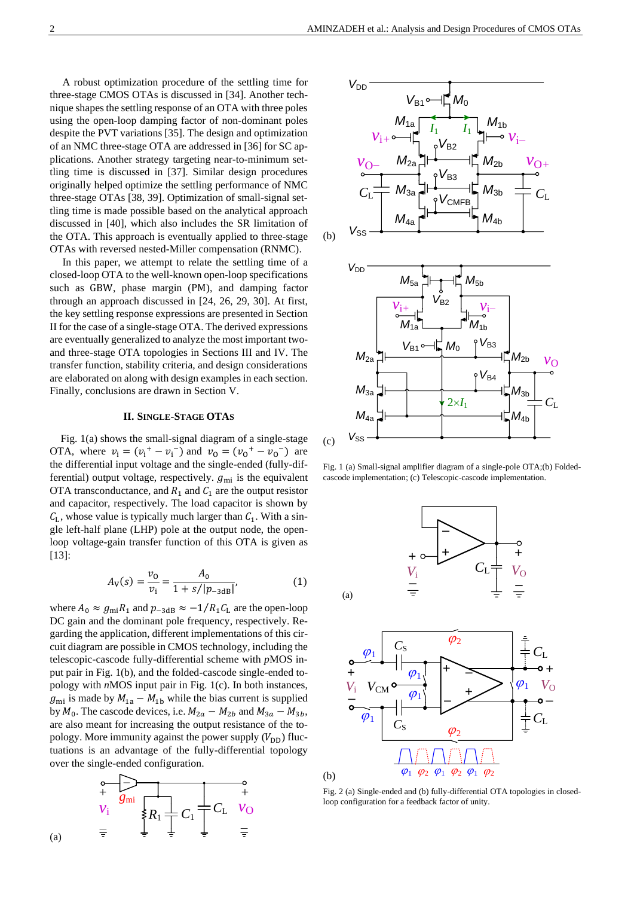A robust optimization procedure of the settling time for three-stage CMOS OTAs is discussed in [\[34\]](#page-10-22). Another technique shapes the settling response of an OTA with three poles using the open-loop damping factor of non-dominant poles despite the PVT variations [\[35\]](#page-10-23). The design and optimization of an NMC three-stage OTA are addressed in [\[36\]](#page-10-24) for SC applications. Another strategy targeting near-to-minimum settling time is discussed in [\[37\]](#page-10-25). Similar design procedures originally helped optimize the settling performance of NMC three-stage OTAs [\[38,](#page-10-26) [39\]](#page-10-27). Optimization of small-signal settling time is made possible based on the analytical approach discussed in [\[40\]](#page-10-28), which also includes the SR limitation of the OTA. This approach is eventually applied to three-stage OTAs with reversed nested-Miller compensation (RNMC).

In this paper, we attempt to relate the settling time of a closed-loop OTA to the well-known open-loop specifications such as GBW, phase margin (PM), and damping factor through an approach discussed in [\[24,](#page-10-14) [26,](#page-10-16) [29,](#page-10-17) [30\]](#page-10-18). At first, the key settling response expressions are presented in Section II for the case of a single-stage OTA. The derived expressions are eventually generalized to analyze the most important twoand three-stage OTA topologies in Sections III and IV. The transfer function, stability criteria, and design considerations are elaborated on along with design examples in each section. Finally, conclusions are drawn in Section V.

# **II. SINGLE-STAGE OTAS**

Fig. 1(a) shows the small-signal diagram of a single-stage OTA, where  $v_i = (v_i^+ - v_i^-)$  and  $v_0 = (v_0^+ - v_0^-)$  are the differential input voltage and the single-ended (fully-differential) output voltage, respectively.  $g_{mi}$  is the equivalent OTA transconductance, and  $R_1$  and  $C_1$  are the output resistor and capacitor, respectively. The load capacitor is shown by  $C_{L}$ , whose value is typically much larger than  $C_{1}$ . With a single left-half plane (LHP) pole at the output node, the openloop voltage-gain transfer function of this OTA is given as [\[13\]](#page-10-1):

$$
A_{\rm V}(s) = \frac{v_{\rm O}}{v_{\rm i}} = \frac{A_{\rm 0}}{1 + s / |p_{\rm -3dB}|},\tag{1}
$$

where  $A_0 \approx g_{\text{mi}} R_1$  and  $p_{-3dB} \approx -1/R_1 C_L$  are the open-loop DC gain and the dominant pole frequency, respectively. Regarding the application, different implementations of this circuit diagram are possible in CMOS technology, including the telescopic-cascode fully-differential scheme with *p*MOS input pair in Fig. 1(b), and the folded-cascode single-ended topology with *n*MOS input pair in Fig. 1(c). In both instances,  $g_{\text{mi}}$  is made by  $M_{1a} - M_{1b}$  while the bias current is supplied by  $M_0$ . The cascode devices, i.e.  $M_{2a} - M_{2b}$  and  $M_{3a} - M_{3b}$ , are also meant for increasing the output resistance of the topology. More immunity against the power supply  $(V_{DD})$  fluctuations is an advantage of the fully-differential topology over the single-ended configuration.



(a)



Fig. 1 (a) Small-signal amplifier diagram of a single-pole OTA;(b) Foldedcascode implementation; (c) Telescopic-cascode implementation.





Fig. 2 (a) Single-ended and (b) fully-differential OTA topologies in closedloop configuration for a feedback factor of unity.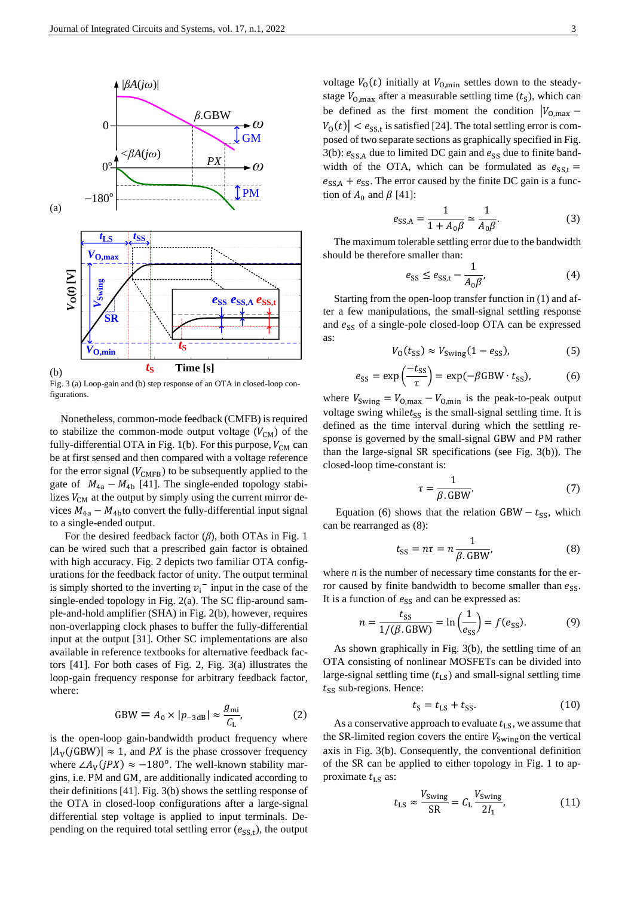

Fig. 3 (a) Loop-gain and (b) step response of an OTA in closed-loop configurations.

Nonetheless, common-mode feedback (CMFB) is required to stabilize the common-mode output voltage  $(V_{CM})$  of the fully-differential OTA in Fig. 1(b). For this purpose,  $V_{CM}$  can be at first sensed and then compared with a voltage reference for the error signal ( $V_{\text{CMFB}}$ ) to be subsequently applied to the gate of  $M_{4a} - M_{4b}$  [\[41\]](#page-10-29). The single-ended topology stabilizes  $V_{CM}$  at the output by simply using the current mirror devices  $M_{4a} - M_{4b}$  to convert the fully-differential input signal to a single-ended output.

For the desired feedback factor (*β*), both OTAs in Fig. 1 can be wired such that a prescribed gain factor is obtained with high accuracy. Fig. 2 depicts two familiar OTA configurations for the feedback factor of unity. The output terminal is simply shorted to the inverting  $v_i^-$  input in the case of the single-ended topology in Fig. 2(a). The SC flip-around sample-and-hold amplifier (SHA) in Fig. 2(b), however, requires non-overlapping clock phases to buffer the fully-differential input at the output [\[31\]](#page-10-19). Other SC implementations are also available in reference textbooks for alternative feedback factors [\[41\]](#page-10-29). For both cases of Fig. 2, Fig. 3(a) illustrates the loop-gain frequency response for arbitrary feedback factor, where:

$$
GBW = A_0 \times |p_{-3\text{dB}}| \approx \frac{g_{\text{mi}}}{C_{\text{L}}},\tag{2}
$$

is the open-loop gain-bandwidth product frequency where  $|A_V(jGBW)| \approx 1$ , and PX is the phase crossover frequency where  $\angle A_V(jPX) \approx -180^\circ$ . The well-known stability margins, i.e. PM and GM, are additionally indicated according to their definitions [\[41\]](#page-10-29). Fig. 3(b) shows the settling response of the OTA in closed-loop configurations after a large-signal differential step voltage is applied to input terminals. Depending on the required total settling error  $(e_{SS,t})$ , the output voltage  $V_0(t)$  initially at  $V_{0,\text{min}}$  settles down to the steadystage  $V_{0,\text{max}}$  after a measurable settling time  $(t<sub>S</sub>)$ , which can be defined as the first moment the condition  $|V_{O,\text{max}} |V_0(t)| < e_{SS,t}$  is satisfied [\[24\]](#page-10-14). The total settling error is composed of two separate sections as graphically specified in Fig. 3(b):  $e_{SS,A}$  due to limited DC gain and  $e_{SS}$  due to finite bandwidth of the OTA, which can be formulated as  $e_{SS,t}$  =  $e_{SS,A} + e_{SS}$ . The error caused by the finite DC gain is a function of  $A_0$  and  $\beta$  [\[41\]](#page-10-29):

$$
e_{\text{SS,A}} = \frac{1}{1 + A_0 \beta} \simeq \frac{1}{A_0 \beta}.\tag{3}
$$

The maximum tolerable settling error due to the bandwidth should be therefore smaller than:

$$
e_{SS} \le e_{SS,t} - \frac{1}{A_0 \beta},\tag{4}
$$

Starting from the open-loop transfer function in (1) and after a few manipulations, the small-signal settling response and  $e_{SS}$  of a single-pole closed-loop OTA can be expressed as:

$$
V_0(t_{\rm SS}) \approx V_{\rm Swing}(1 - e_{\rm SS}),\tag{5}
$$

$$
e_{SS} = \exp\left(\frac{-t_{SS}}{\tau}\right) = \exp(-\beta \text{GBW} \cdot t_{SS}),\tag{6}
$$

where  $V_{\text{Swing}} = V_{\text{O,max}} - V_{\text{O,min}}$  is the peak-to-peak output voltage swing while  $t_{SS}$  is the small-signal settling time. It is defined as the time interval during which the settling response is governed by the small-signal GBW and PM rather than the large-signal SR specifications (see Fig. 3(b)). The closed-loop time-constant is:

$$
\tau = \frac{1}{\beta. \text{GBW}}.\tag{7}
$$

Equation (6) shows that the relation  $GBW - t_{SS}$ , which can be rearranged as (8):

$$
t_{\rm SS} = n\tau = n \frac{1}{\beta. \text{GBW}},\tag{8}
$$

where *n* is the number of necessary time constants for the error caused by finite bandwidth to become smaller than  $e_{SS}$ . It is a function of  $e_{SS}$  and can be expressed as:

$$
n = \frac{t_{\rm SS}}{1/(\beta. \text{GBW})} = \ln\left(\frac{1}{e_{\rm SS}}\right) = f(e_{\rm SS}).\tag{9}
$$

As shown graphically in Fig. 3(b), the settling time of an OTA consisting of nonlinear MOSFETs can be divided into large-signal settling time  $(t_{LS})$  and small-signal settling time  $t_{SS}$  sub-regions. Hence:

$$
t_{\rm S} = t_{\rm LS} + t_{\rm SS}.\tag{10}
$$

As a conservative approach to evaluate  $t_{LS}$ , we assume that the SR-limited region covers the entire  $V_{\text{Swing}}$  on the vertical axis in Fig. 3(b). Consequently, the conventional definition of the SR can be applied to either topology in Fig. 1 to approximate  $t_{\text{LS}}$  as:

$$
t_{\rm LS} \approx \frac{V_{\rm Swing}}{\rm SR} = C_{\rm L} \frac{V_{\rm Swing}}{2I_1},\tag{11}
$$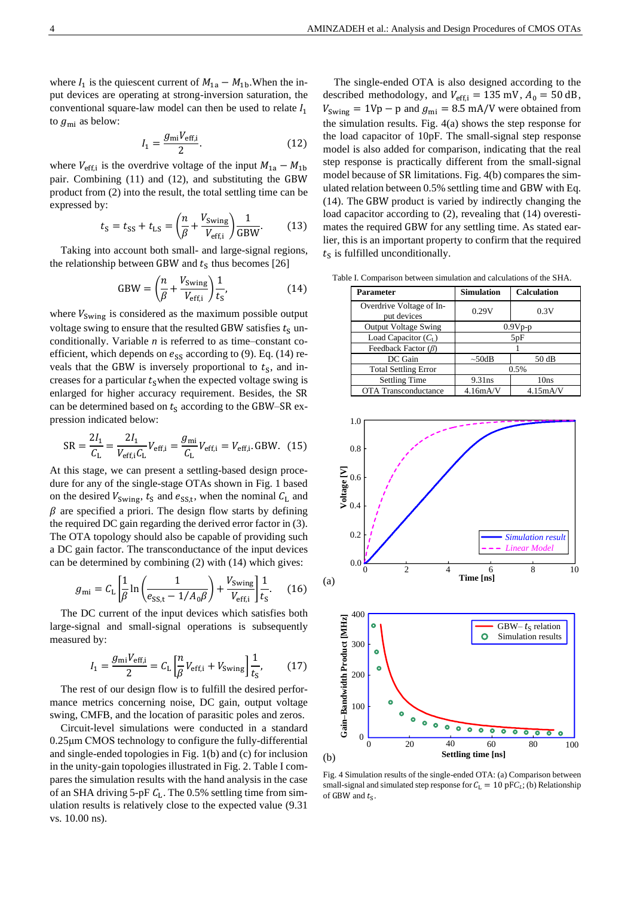where  $I_1$  is the quiescent current of  $M_{1a} - M_{1b}$ . When the input devices are operating at strong-inversion saturation, the conventional square-law model can then be used to relate  $I_1$ to  $g_{\text{mi}}$  as below:

$$
I_1 = \frac{g_{\text{mi}} V_{\text{eff,i}}}{2}.
$$
 (12)

where  $V_{\text{eff,i}}$  is the overdrive voltage of the input  $M_{1a} - M_{1b}$ pair. Combining (11) and (12), and substituting the GBW product from (2) into the result, the total settling time can be expressed by:

$$
t_{\rm S} = t_{\rm SS} + t_{\rm LS} = \left(\frac{n}{\beta} + \frac{V_{\rm Swing}}{V_{\rm eff,i}}\right) \frac{1}{\rm GBW}.\tag{13}
$$

Taking into account both small- and large-signal regions, the relationship between GBW and  $t_s$  thus becomes [26]

$$
GBW = \left(\frac{n}{\beta} + \frac{V_{\text{Swing}}}{V_{\text{eff,i}}}\right) \frac{1}{t_{\text{s}}},\tag{14}
$$

where  $V_{\text{Swing}}$  is considered as the maximum possible output voltage swing to ensure that the resulted GBW satisfies  $t_s$  unconditionally. Variable *n* is referred to as time–constant coefficient, which depends on  $e_{SS}$  according to (9). Eq. (14) reveals that the GBW is inversely proportional to  $t<sub>S</sub>$ , and increases for a particular  $t<sub>S</sub>$  when the expected voltage swing is enlarged for higher accuracy requirement. Besides, the SR can be determined based on  $t_s$  according to the GBW–SR expression indicated below:

$$
SR = \frac{2I_1}{C_L} = \frac{2I_1}{V_{\text{eff,i}}C_L}V_{\text{eff,i}} = \frac{g_{\text{mi}}}{C_L}V_{\text{eff,i}} = V_{\text{eff,i}}. \text{GBW. (15)}
$$

At this stage, we can present a settling-based design procedure for any of the single-stage OTAs shown in Fig. 1 based on the desired  $V_{\text{swing}}$ ,  $t_{\text{S}}$  and  $e_{\text{SS,t}}$ , when the nominal  $C_{\text{L}}$  and  $\beta$  are specified a priori. The design flow starts by defining the required DC gain regarding the derived error factor in (3). The OTA topology should also be capable of providing such a DC gain factor. The transconductance of the input devices can be determined by combining (2) with (14) which gives:

$$
g_{\rm mi} = C_{\rm L} \left[ \frac{1}{\beta} \ln \left( \frac{1}{e_{\rm SS,t} - 1/A_0 \beta} \right) + \frac{V_{\rm Swing}}{V_{\rm eff,i}} \right] \frac{1}{t_{\rm S}}.
$$
 (16)

The DC current of the input devices which satisfies both large-signal and small-signal operations is subsequently measured by:

$$
I_1 = \frac{g_{\text{mi}} V_{\text{eff,i}}}{2} = C_{\text{L}} \left[ \frac{n}{\beta} V_{\text{eff,i}} + V_{\text{Swing}} \right] \frac{1}{t_s},\tag{17}
$$

The rest of our design flow is to fulfill the desired performance metrics concerning noise, DC gain, output voltage swing, CMFB, and the location of parasitic poles and zeros.

Circuit-level simulations were conducted in a standard 0.25μm CMOS technology to configure the fully-differential and single-ended topologies in Fig. 1(b) and (c) for inclusion in the unity-gain topologies illustrated in Fig. 2. Table I compares the simulation results with the hand analysis in the case of an SHA driving 5-pF  $C_L$ . The 0.5% settling time from simulation results is relatively close to the expected value (9.31 vs. 10.00 ns).

The single-ended OTA is also designed according to the described methodology, and  $V_{\text{eff,i}} = 135 \text{ mV}$ ,  $A_0 = 50 \text{ dB}$ ,  $V_{\text{Swing}} = 1 \text{Vp} - \text{p}$  and  $g_{\text{mi}} = 8.5 \text{ mA/V}$  were obtained from the simulation results. Fig. 4(a) shows the step response for the load capacitor of 10pF. The small-signal step response model is also added for comparison, indicating that the real step response is practically different from the small-signal model because of SR limitations. Fig. 4(b) compares the simulated relation between 0.5% settling time and GBW with Eq. (14). The GBW product is varied by indirectly changing the load capacitor according to (2), revealing that (14) overestimates the required GBW for any settling time. As stated earlier, this is an important property to confirm that the required  $t<sub>S</sub>$  is fulfilled unconditionally.

Table I. Comparison between simulation and calculations of the SHA.

| Parameter                               | Simulation         | <b>Calculation</b> |  |
|-----------------------------------------|--------------------|--------------------|--|
| Overdrive Voltage of In-<br>put devices | 0.29V<br>0.3V      |                    |  |
| <b>Output Voltage Swing</b>             | $0.9Vp-p$          |                    |  |
| Load Capacitor $(C_I)$                  | 5pF                |                    |  |
| Feedback Factor $(\beta)$               |                    |                    |  |
| DC Gain                                 | 50 dB<br>$~100$ dB |                    |  |
| <b>Total Settling Error</b>             | 0.5%               |                    |  |
| <b>Settling Time</b>                    | 9.31ns             | 10ns               |  |
| <b>OTA Transconductance</b>             | 4.16mA/V           | 4.15mA/V           |  |





Fig. 4 Simulation results of the single-ended OTA: (a) Comparison between small-signal and simulated step response for  $C_L = 10$  pF $C_L$ ; (b) Relationship of GBW and  $t_s$ .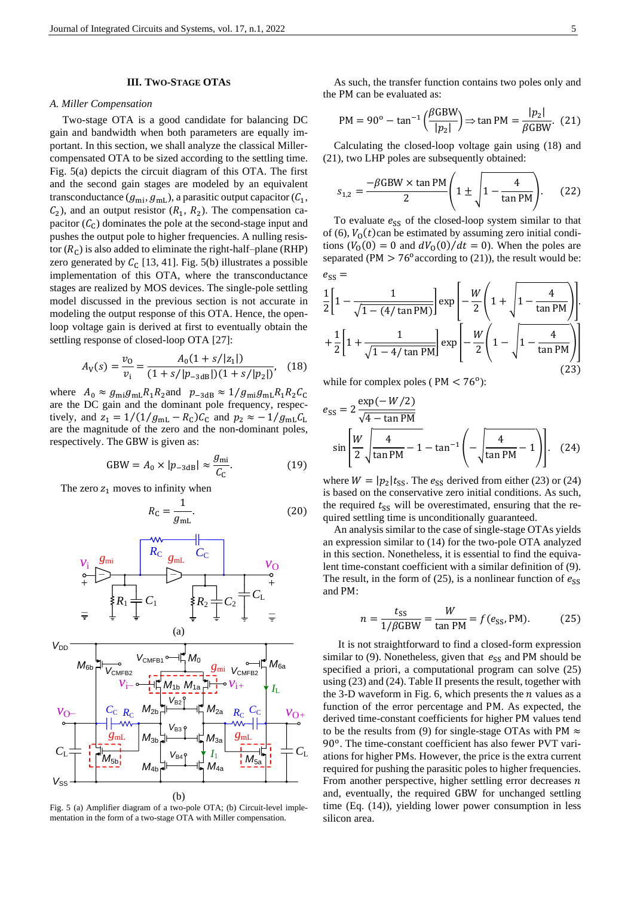#### **III. TWO-STAGE OTAS**

#### *A. Miller Compensation*

Two-stage OTA is a good candidate for balancing DC gain and bandwidth when both parameters are equally important. In this section, we shall analyze the classical Millercompensated OTA to be sized according to the settling time. Fig. 5(a) depicts the circuit diagram of this OTA. The first and the second gain stages are modeled by an equivalent transconductance  $(g_{\text{mi}}, g_{\text{mL}})$ , a parasitic output capacitor  $(\mathcal{C}_1,$  $C_2$ ), and an output resistor  $(R_1, R_2)$ . The compensation capacitor  $(C_C)$  dominates the pole at the second-stage input and pushes the output pole to higher frequencies. A nulling resistor  $(R_C)$  is also added to eliminate the right-half–plane (RHP) zero generated by  $C_C$  [\[13,](#page-10-1) [41\]](#page-10-29). Fig. 5(b) illustrates a possible implementation of this OTA, where the transconductance stages are realized by MOS devices. The single-pole settling model discussed in the previous section is not accurate in modeling the output response of this OTA. Hence, the openloop voltage gain is derived at first to eventually obtain the settling response of closed-loop OTA [\[27\]](#page-10-30):

$$
A_V(s) = \frac{v_0}{v_i} = \frac{A_0(1 + s/|z_1|)}{(1 + s/|p_{-3dB}|)(1 + s/|p_2|)},
$$
 (18)

where  $A_0 \approx g_{\text{mi}}g_{\text{mL}}R_1R_2$  and  $p_{-3dB} \approx 1/g_{\text{mi}}g_{\text{mL}}R_1R_2C_C$ are the DC gain and the dominant pole frequency, respectively, and  $z_1 = 1/(1/g_{mL} - R_c)C_c$  and  $p_2 \approx -1/g_{mL}C_L$ are the magnitude of the zero and the non-dominant poles, respectively. The GBW is given as:

$$
GBW = A_0 \times |p_{-3dB}| \approx \frac{g_{\text{mi}}}{C_{\text{C}}}.
$$
 (19)

The zero  $z_1$  moves to infinity when

$$
R_{\rm C} = \frac{1}{g_{\rm mL}}.\tag{20}
$$



Fig. 5 (a) Amplifier diagram of a two-pole OTA; (b) Circuit-level implementation in the form of a two-stage OTA with Miller compensation.

As such, the transfer function contains two poles only and the PM can be evaluated as:

$$
PM = 90^{\circ} - \tan^{-1} \left( \frac{\beta GBW}{|p_2|} \right) \Rightarrow \tan PM = \frac{|p_2|}{\beta GBW}.
$$
 (21)

Calculating the closed-loop voltage gain using (18) and (21), two LHP poles are subsequently obtained:

$$
s_{1,2} = \frac{-\beta \text{GBW} \times \tan \text{PM}}{2} \left( 1 \pm \sqrt{1 - \frac{4}{\tan \text{PM}}} \right). \tag{22}
$$

To evaluate  $e_{SS}$  of the closed-loop system similar to that of (6),  $V_0(t)$ can be estimated by assuming zero initial conditions  $(V_0(0) = 0$  and  $dV_0(0)/dt = 0$ ). When the poles are separated (PM  $> 76^{\circ}$  according to (21)), the result would be:  $e_{SS}$  =

$$
\frac{1}{2} \left[ 1 - \frac{1}{\sqrt{1 - (4/\tan PM)}} \right] \exp \left[ -\frac{W}{2} \left( 1 + \sqrt{1 - \frac{4}{\tan PM}} \right) \right]
$$

$$
+ \frac{1}{2} \left[ 1 + \frac{1}{\sqrt{1 - 4/\tan PM}} \right] \exp \left[ -\frac{W}{2} \left( 1 - \sqrt{1 - \frac{4}{\tan PM}} \right) \right]
$$
(23)

while for complex poles ( $PM < 76^{\circ}$ ):

$$
e_{SS} = 2 \frac{\exp(-W/2)}{\sqrt{4 - \tan PM}}
$$
  

$$
\sin \left[ \frac{W}{2} \sqrt{\frac{4}{\tan PM} - 1} - \tan^{-1} \left( -\sqrt{\frac{4}{\tan PM} - 1} \right) \right].
$$
 (24)

where  $W = |p_2|t_{SS}$ . The  $e_{SS}$  derived from either (23) or (24) is based on the conservative zero initial conditions. As such, the required  $t_{SS}$  will be overestimated, ensuring that the required settling time is unconditionally guaranteed.

An analysis similar to the case of single-stage OTAs yields an expression similar to (14) for the two-pole OTA analyzed in this section. Nonetheless, it is essential to find the equivalent time-constant coefficient with a similar definition of (9). The result, in the form of (25), is a nonlinear function of  $e_{SS}$ and PM:

$$
n = \frac{t_{SS}}{1/\beta \text{GBW}} = \frac{W}{\text{tan PM}} = f(e_{SS}, \text{PM}).\tag{25}
$$

It is not straightforward to find a closed-form expression similar to (9). Nonetheless, given that  $e_{SS}$  and PM should be specified a priori, a computational program can solve (25) using (23) and (24). Table II presents the result, together with the 3-D waveform in Fig. 6, which presents the  $n$  values as a function of the error percentage and PM. As expected, the derived time-constant coefficients for higher PM values tend to be the results from (9) for single-stage OTAs with PM  $\approx$ 90°. The time-constant coefficient has also fewer PVT variations for higher PMs. However, the price is the extra current required for pushing the parasitic poles to higher frequencies. From another perspective, higher settling error decreases  $n$ and, eventually, the required GBW for unchanged settling time (Eq. (14)), yielding lower power consumption in less silicon area.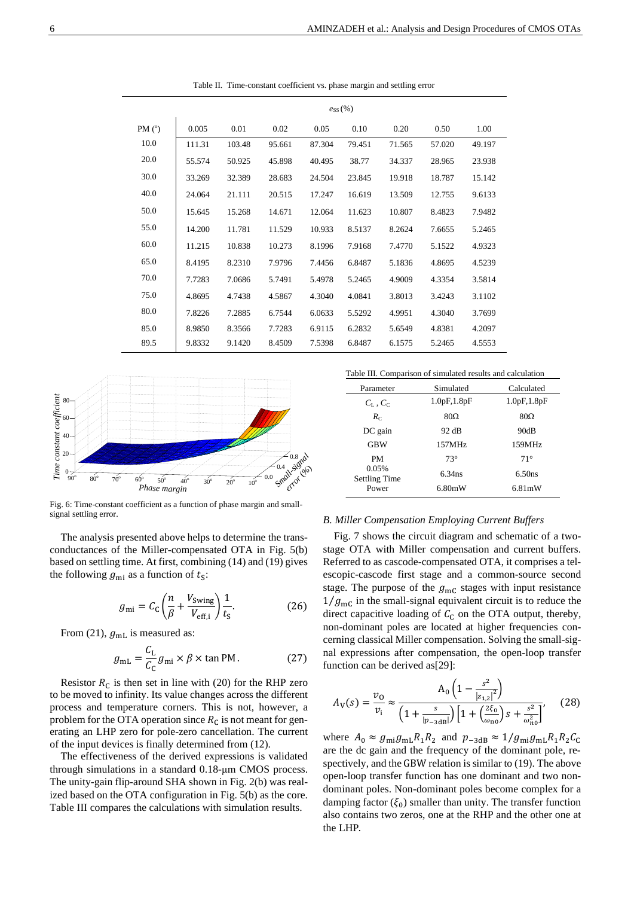|          | $e_{SS}(%)$ |        |        |        |        |        |        |        |
|----------|-------------|--------|--------|--------|--------|--------|--------|--------|
| PM $(°)$ | 0.005       | 0.01   | 0.02   | 0.05   | 0.10   | 0.20   | 0.50   | 1.00   |
| 10.0     | 111.31      | 103.48 | 95.661 | 87.304 | 79.451 | 71.565 | 57.020 | 49.197 |
| 20.0     | 55.574      | 50.925 | 45.898 | 40.495 | 38.77  | 34.337 | 28.965 | 23.938 |
| 30.0     | 33.269      | 32.389 | 28.683 | 24.504 | 23.845 | 19.918 | 18.787 | 15.142 |
| 40.0     | 24.064      | 21.111 | 20.515 | 17.247 | 16.619 | 13.509 | 12.755 | 9.6133 |
| 50.0     | 15.645      | 15.268 | 14.671 | 12.064 | 11.623 | 10.807 | 8.4823 | 7.9482 |
| 55.0     | 14.200      | 11.781 | 11.529 | 10.933 | 8.5137 | 8.2624 | 7.6655 | 5.2465 |
| 60.0     | 11.215      | 10.838 | 10.273 | 8.1996 | 7.9168 | 7.4770 | 5.1522 | 4.9323 |
| 65.0     | 8.4195      | 8.2310 | 7.9796 | 7.4456 | 6.8487 | 5.1836 | 4.8695 | 4.5239 |
| 70.0     | 7.7283      | 7.0686 | 5.7491 | 5.4978 | 5.2465 | 4.9009 | 4.3354 | 3.5814 |
| 75.0     | 4.8695      | 4.7438 | 4.5867 | 4.3040 | 4.0841 | 3.8013 | 3.4243 | 3.1102 |
| 80.0     | 7.8226      | 7.2885 | 6.7544 | 6.0633 | 5.5292 | 4.9951 | 4.3040 | 3.7699 |
| 85.0     | 8.9850      | 8.3566 | 7.7283 | 6.9115 | 6.2832 | 5.6549 | 4.8381 | 4.2097 |
| 89.5     | 9.8332      | 9.1420 | 8.4509 | 7.5398 | 6.8487 | 6.1575 | 5.2465 | 4.5553 |

Table II. Time-constant coefficient vs. phase margin and settling error



Fig. 6: Time-constant coefficient as a function of phase margin and smallsignal settling error.

The analysis presented above helps to determine the transconductances of the Miller-compensated OTA in Fig. 5(b) based on settling time. At first, combining (14) and (19) gives the following  $g_{\text{mi}}$  as a function of  $t_s$ :

$$
g_{\rm mi} = C_{\rm C} \left( \frac{n}{\beta} + \frac{V_{\rm Swing}}{V_{\rm eff,i}} \right) \frac{1}{t_{\rm S}}.
$$
 (26)

From (21),  $g_{mL}$  is measured as:

$$
g_{\rm mL} = \frac{C_{\rm L}}{C_{\rm C}} g_{\rm mi} \times \beta \times \tan \text{PM}.
$$
 (27)

Resistor  $R_c$  is then set in line with (20) for the RHP zero to be moved to infinity. Its value changes across the different process and temperature corners. This is not, however, a problem for the OTA operation since  $R<sub>C</sub>$  is not meant for generating an LHP zero for pole-zero cancellation. The current of the input devices is finally determined from (12).

The effectiveness of the derived expressions is validated through simulations in a standard 0.18-μm CMOS process. The unity-gain flip-around SHA shown in Fig. 2(b) was realized based on the OTA configuration in Fig. 5(b) as the core. Table III compares the calculations with simulation results.

Table III. Comparison of simulated results and calculation

| Parameter                     | Simulated    | Calculated   |  |
|-------------------------------|--------------|--------------|--|
| $C_1$ , $C_1$                 | 1.0pF, 1.8pF | 1.0pF, 1.8pF |  |
| $R_C$                         | $80\Omega$   | $80\Omega$   |  |
| DC gain                       | 92 dB        | 90dB         |  |
| <b>GBW</b>                    | 157MHz       | 159MHz       |  |
| PM                            | $73^\circ$   | $71^\circ$   |  |
| 0.05%<br><b>Settling Time</b> | $6.34$ ns    | 6.50ns       |  |
| Power                         | 6.80mW       | 6.81mW       |  |

# *B. Miller Compensation Employing Current Buffers*

Fig. 7 shows the circuit diagram and schematic of a twostage OTA with Miller compensation and current buffers. Referred to as cascode-compensated OTA, it comprises a telescopic-cascode first stage and a common-source second stage. The purpose of the  $g_{\text{mC}}$  stages with input resistance  $1/g_{\text{mc}}$  in the small-signal equivalent circuit is to reduce the direct capacitive loading of  $C_C$  on the OTA output, thereby, non-dominant poles are located at higher frequencies concerning classical Miller compensation. Solving the small-signal expressions after compensation, the open-loop transfer function can be derived as[\[29\]](#page-10-17):

$$
A_V(s) = \frac{\nu_0}{\nu_i} \approx \frac{A_0 \left(1 - \frac{s^2}{|z_{1,2}|^2}\right)}{\left(1 + \frac{s}{|p_{-3dB}|}\right) \left[1 + \left(\frac{2\xi_0}{\omega_{n_0}}\right)s + \frac{s^2}{\omega_{n_0}^2}\right]},
$$
(28)

where  $A_0 \approx g_{\text{mi}}g_{\text{mL}}R_1R_2$  and  $p_{-3dB} \approx 1/g_{\text{mi}}g_{\text{mL}}R_1R_2C_0$ are the dc gain and the frequency of the dominant pole, respectively, and the GBW relation is similar to (19). The above open-loop transfer function has one dominant and two nondominant poles. Non-dominant poles become complex for a damping factor  $(\xi_0)$  smaller than unity. The transfer function also contains two zeros, one at the RHP and the other one at the LHP.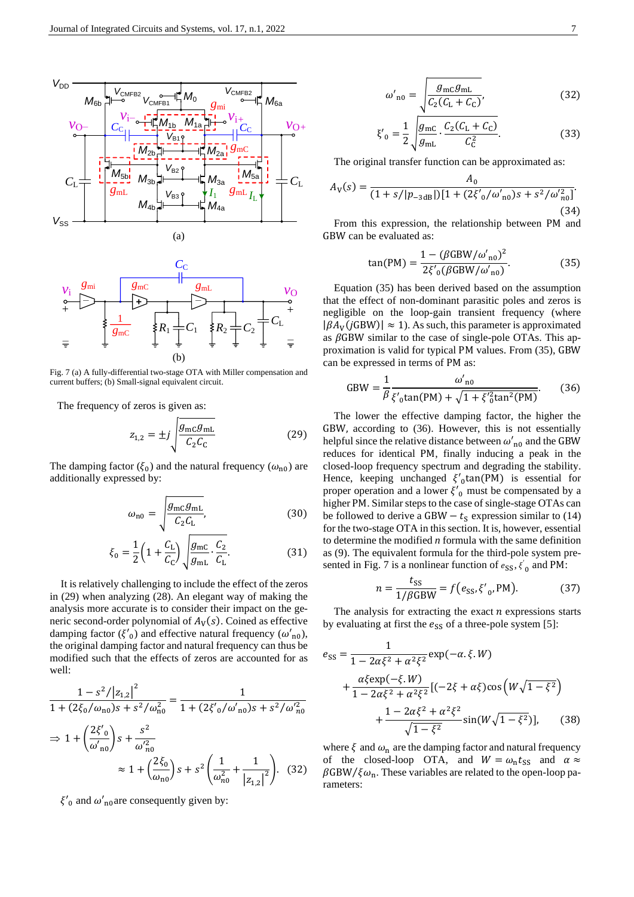



Fig. 7 (a) A fully-differential two-stage OTA with Miller compensation and current buffers; (b) Small-signal equivalent circuit.

The frequency of zeros is given as:

$$
z_{1,2} = \pm j \sqrt{\frac{g_{\rm mC}g_{\rm mL}}{C_2 C_{\rm C}}}
$$
 (29)

The damping factor ( $\xi_0$ ) and the natural frequency ( $\omega_{n0}$ ) are additionally expressed by:

$$
\omega_{\rm n0} = \sqrt{\frac{g_{\rm mC}g_{\rm mL}}{C_2 C_{\rm L}}},\tag{30}
$$

$$
\xi_0 = \frac{1}{2} \left( 1 + \frac{C_{\rm L}}{C_{\rm C}} \right) \sqrt{\frac{g_{\rm mc}}{g_{\rm mL}} \cdot \frac{C_2}{C_{\rm L}}}.
$$
\n(31)

It is relatively challenging to include the effect of the zeros in (29) when analyzing (28). An elegant way of making the analysis more accurate is to consider their impact on the generic second-order polynomial of  $A_V(s)$ . Coined as effective damping factor ( $\zeta'_{0}$ ) and effective natural frequency ( $\omega'_{n0}$ ), the original damping factor and natural frequency can thus be modified such that the effects of zeros are accounted for as well:

$$
\frac{1 - s^2 / |z_{1,2}|^2}{1 + (2\xi_0/\omega_{n0})s + s^2/\omega_{n0}^2} = \frac{1}{1 + (2\xi'_0/\omega'_{n0})s + s^2/\omega_{n0}^2}
$$

$$
\Rightarrow 1 + \left(\frac{2\xi'_0}{\omega'_{n0}}\right)s + \frac{s^2}{\omega_{n0}^2}
$$

$$
\approx 1 + \left(\frac{2\xi_0}{\omega_{n0}}\right)s + s^2 \left(\frac{1}{\omega_{n0}^2} + \frac{1}{|z_{1,2}|^2}\right). (32)
$$

 $\xi'_{0}$  and  $\omega'_{0}$  are consequently given by:

$$
\omega'_{n0} = \sqrt{\frac{g_{\rm mc}g_{\rm mL}}{C_2(C_{\rm L} + C_{\rm C})}},\tag{32}
$$

$$
\xi'_{0} = \frac{1}{2} \sqrt{\frac{g_{\text{mC}}}{g_{\text{mL}}}} \cdot \frac{C_{2}(C_{\text{L}} + C_{\text{C}})}{C_{\text{C}}^{2}}.
$$
 (33)

The original transfer function can be approximated as:

$$
A_{\rm V}(s) = \frac{A_0}{(1 + s/|p_{-3\,\rm dB}|)[1 + (2\xi_0/\omega_{\rm n0})s + s^2/\omega_{\rm n0}^2]}.
$$
\n(34)

From this expression, the relationship between PM and GBW can be evaluated as:

$$
\tan(PM) = \frac{1 - (\beta GBW/\omega'_{\text{no}})^2}{2\xi'_{\text{0}}(\beta GBW/\omega'_{\text{no}})}.
$$
 (35)

Equation (35) has been derived based on the assumption that the effect of non-dominant parasitic poles and zeros is negligible on the loop-gain transient frequency (where  $|\beta A_V(jGBW)| \approx 1$ ). As such, this parameter is approximated as  $\beta$ GBW similar to the case of single-pole OTAs. This approximation is valid for typical PM values. From (35), GBW can be expressed in terms of PM as:

GBW = 
$$
\frac{1}{\beta} \frac{\omega'_{n0}}{\xi'_{0} \tan(PM) + \sqrt{1 + \xi'^{2}_{0} \tan^{2}(PM)}}
$$
. (36)

The lower the effective damping factor, the higher the GBW, according to (36). However, this is not essentially helpful since the relative distance between  $\omega'_{n0}$  and the GBW reduces for identical PM, finally inducing a peak in the closed-loop frequency spectrum and degrading the stability. Hence, keeping unchanged  $\xi'_{0}$ tan(PM) is essential for proper operation and a lower  $\zeta'_{0}$  must be compensated by a higher PM. Similar steps to the case of single-stage OTAs can be followed to derive a GBW  $- t<sub>S</sub>$  expression similar to (14) for the two-stage OTA in this section. It is, however, essential to determine the modified *n* formula with the same definition as (9). The equivalent formula for the third-pole system presented in Fig. 7 is a nonlinear function of  $e_{SS}$ ,  $\zeta'_0$  and PM:

$$
n = \frac{t_{\rm SS}}{1/\beta \text{GBW}} = f(e_{\rm SS}, \xi'_{0}, \text{PM}).\tag{37}
$$

The analysis for extracting the exact  $n$  expressions starts by evaluating at first the  $e_{SS}$  of a three-pole system [\[5\]](#page-10-6):

$$
e_{SS} = \frac{1}{1 - 2\alpha\xi^2 + \alpha^2\xi^2} \exp(-\alpha.\xi.W) + \frac{\alpha\xi \exp(-\xi.W)}{1 - 2\alpha\xi^2 + \alpha^2\xi^2} [(-2\xi + \alpha\xi)\cos\left(W\sqrt{1 - \xi^2}\right) + \frac{1 - 2\alpha\xi^2 + \alpha^2\xi^2}{\sqrt{1 - \xi^2}} \sin(W\sqrt{1 - \xi^2})],
$$
(38)

where  $\xi$  and  $\omega_n$  are the damping factor and natural frequency of the closed-loop OTA, and  $W = \omega_n t_{SS}$  and  $\alpha \approx$  $\beta$ GBW/ $\xi \omega_n$ . These variables are related to the open-loop parameters: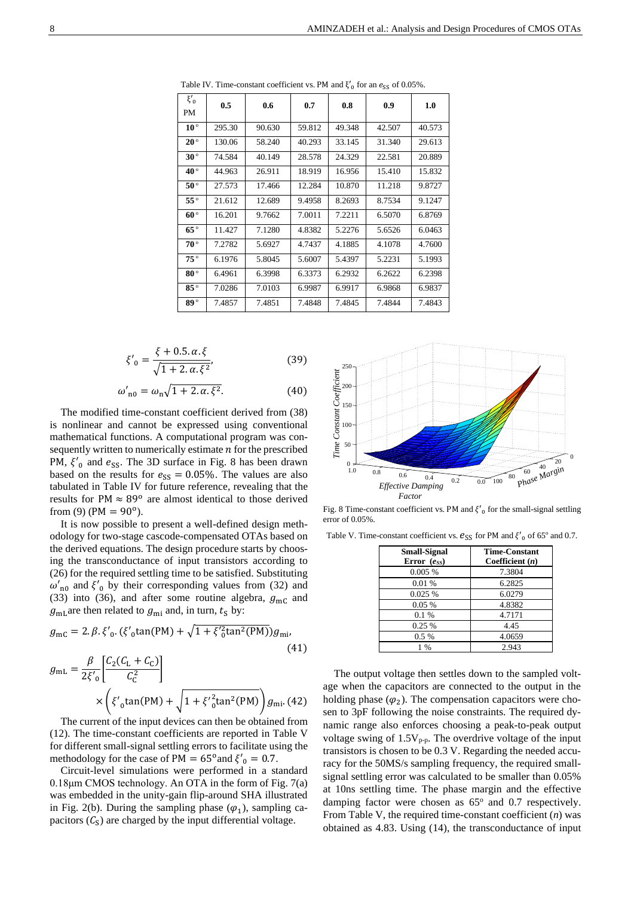| $\xi'_{0}$<br>PM | 0.5    | 0.6    | 0.7    | 0.8    | 0.9    | 1.0    |
|------------------|--------|--------|--------|--------|--------|--------|
| $10^{\circ}$     | 295.30 | 90.630 | 59.812 | 49.348 | 42.507 | 40.573 |
| $20^{\circ}$     | 130.06 | 58.240 | 40.293 | 33.145 | 31.340 | 29.613 |
| $30^{\circ}$     | 74.584 | 40.149 | 28.578 | 24.329 | 22.581 | 20.889 |
| $40^{\circ}$     | 44.963 | 26.911 | 18.919 | 16.956 | 15.410 | 15.832 |
| $50^{\circ}$     | 27.573 | 17.466 | 12.284 | 10.870 | 11.218 | 9.8727 |
| $55^{\circ}$     | 21.612 | 12.689 | 9.4958 | 8.2693 | 8.7534 | 9.1247 |
| $60^{\circ}$     | 16.201 | 9.7662 | 7.0011 | 7.2211 | 6.5070 | 6.8769 |
| $65^{\circ}$     | 11.427 | 7.1280 | 4.8382 | 5.2276 | 5.6526 | 6.0463 |
| $70^{\circ}$     | 7.2782 | 5.6927 | 4.7437 | 4.1885 | 4.1078 | 4.7600 |
| $75^{\circ}$     | 6.1976 | 5.8045 | 5.6007 | 5.4397 | 5.2231 | 5.1993 |
| $80^{\circ}$     | 6.4961 | 6.3998 | 6.3373 | 6.2932 | 6.2622 | 6.2398 |
| $85^{\circ}$     | 7.0286 | 7.0103 | 6.9987 | 6.9917 | 6.9868 | 6.9837 |
| $89^{\circ}$     | 7.4857 | 7.4851 | 7.4848 | 7.4845 | 7.4844 | 7.4843 |

Table IV. Time-constant coefficient vs. PM and  $\xi'_{0}$  for an  $e_{SS}$  of 0.05%.

$$
\xi'_{0} = \frac{\xi + 0.5 \, \alpha \, \xi}{\sqrt{1 + 2 \, \alpha \, \xi^{2}}},\tag{39}
$$

$$
\omega'_{n0} = \omega_n \sqrt{1 + 2 \cdot \alpha \cdot \xi^2}.
$$
 (40)

The modified time-constant coefficient derived from (38) is nonlinear and cannot be expressed using conventional mathematical functions. A computational program was consequently written to numerically estimate  $n$  for the prescribed PM,  $\xi'_{0}$  and  $e_{SS}$ . The 3D surface in Fig. 8 has been drawn based on the results for  $e_{SS} = 0.05\%$ . The values are also tabulated in Table IV for future reference, revealing that the results for PM  $\approx 89^{\circ}$  are almost identical to those derived from (9) (PM =  $90^{\circ}$ ).

It is now possible to present a well-defined design methodology for two-stage cascode-compensated OTAs based on the derived equations. The design procedure starts by choosing the transconductance of input transistors according to (26) for the required settling time to be satisfied. Substituting  $\omega'_{n0}$  and  $\xi'_{0}$  by their corresponding values from (32) and (33) into (36), and after some routine algebra,  $g_{\text{mC}}$  and  $g_{\text{mL}}$  are then related to  $g_{\text{mi}}$  and, in turn,  $t_s$  by:

$$
g_{\rm mc} = 2. \beta. \xi'_{0}. (\xi'_{0} \tan(\text{PM}) + \sqrt{1 + \xi'^{2}_{0} \tan^{2}(\text{PM})}) g_{\rm mi},
$$
\n
$$
g_{\rm mL} = \frac{\beta}{2\xi'_{0}} \left[ \frac{C_{2}(C_{\rm L} + C_{\rm C})}{C_{\rm C}^{2}} \right]
$$
\n
$$
\times \left( \xi'_{0} \tan(\text{PM}) + \sqrt{1 + \xi'^{2}_{0} \tan^{2}(\text{PM})} \right) g_{\rm mi}. \text{ (42)}
$$

The current of the input devices can then be obtained from (12). The time-constant coefficients are reported in Table V for different small-signal settling errors to facilitate using the methodology for the case of PM =  $65^{\circ}$  and  $\xi'_{0} = 0.7$ .

Circuit-level simulations were performed in a standard 0.18μm CMOS technology. An OTA in the form of Fig. 7(a) was embedded in the unity-gain flip-around SHA illustrated in Fig. 2(b). During the sampling phase  $(\varphi_1)$ , sampling capacitors  $(C_S)$  are charged by the input differential voltage.



Fig. 8 Time-constant coefficient vs. PM and  $\xi'_{0}$  for the small-signal settling error of 0.05%.

Table V. Time-constant coefficient vs.  $e_{SS}$  for PM and  $\xi'_{0}$  of 65° and 0.7.

| <b>Small-Signal</b><br>Error $(e_{SS})$ | <b>Time-Constant</b><br>Coefficient $(n)$ |
|-----------------------------------------|-------------------------------------------|
| 0.005%                                  | 7.3804                                    |
| 0.01%                                   | 6.2825                                    |
| 0.025%                                  | 6.0279                                    |
| 0.05%                                   | 4.8382                                    |
| 0.1%                                    | 4.7171                                    |
| 0.25%                                   | 4.45                                      |
| $0.5\%$                                 | 4.0659                                    |
| $1\%$                                   | 2.943                                     |

The output voltage then settles down to the sampled voltage when the capacitors are connected to the output in the holding phase  $(\varphi_2)$ . The compensation capacitors were chosen to 3pF following the noise constraints. The required dynamic range also enforces choosing a peak-to-peak output voltage swing of  $1.5V_{p-p}$ . The overdrive voltage of the input transistors is chosen to be 0.3 V. Regarding the needed accuracy for the 50MS/s sampling frequency, the required smallsignal settling error was calculated to be smaller than 0.05% at 10ns settling time. The phase margin and the effective damping factor were chosen as  $65^{\circ}$  and 0.7 respectively. From Table V, the required time-constant coefficient (*n*) was obtained as 4.83. Using (14), the transconductance of input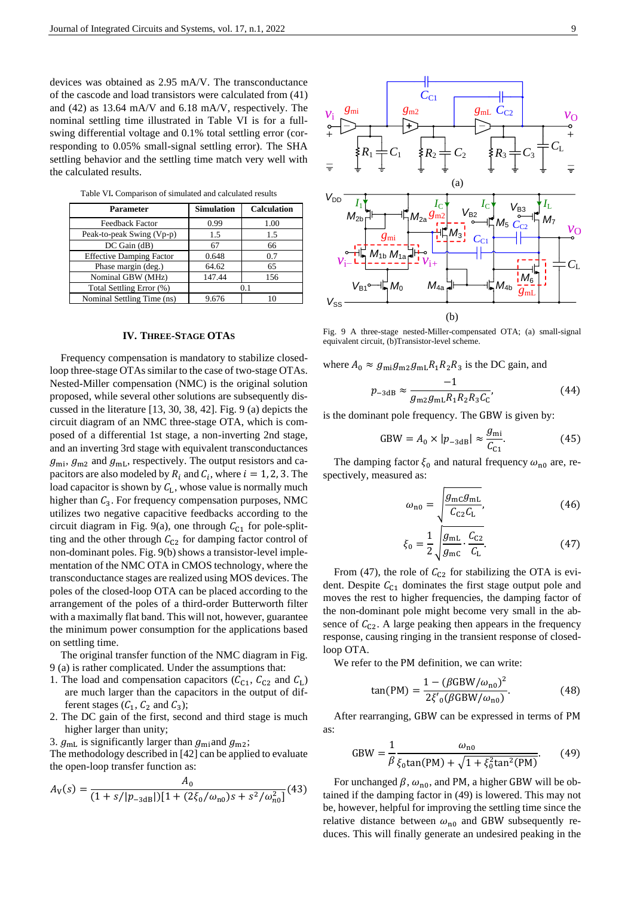devices was obtained as 2.95 mA/V. The transconductance of the cascode and load transistors were calculated from (41) and (42) as 13.64 mA/V and 6.18 mA/V, respectively. The nominal settling time illustrated in Table VI is for a fullswing differential voltage and 0.1% total settling error (corresponding to 0.05% small-signal settling error). The SHA settling behavior and the settling time match very well with the calculated results.

| Parameter                       | <b>Simulation</b> | <b>Calculation</b> |  |
|---------------------------------|-------------------|--------------------|--|
| Feedback Factor                 | 0.99              | 1.00               |  |
| Peak-to-peak Swing (Vp-p)       | 1.5               | 1.5                |  |
| DC Gain (dB)                    | 67                | 66                 |  |
| <b>Effective Damping Factor</b> | 0.648             | 0.7                |  |
| Phase margin (deg.)             | 64.62             | 65                 |  |
| Nominal GBW (MHz)               | 147.44            | 156                |  |
| Total Settling Error (%)        |                   | 0.1                |  |
| Nominal Settling Time (ns)      | 9.676             |                    |  |

Table VI**.** Comparison of simulated and calculated results

# **IV. THREE-STAGE OTAS**

Frequency compensation is mandatory to stabilize closedloop three-stage OTAs similar to the case of two-stage OTAs. Nested-Miller compensation (NMC) is the original solution proposed, while several other solutions are subsequently discussed in the literature [\[13,](#page-10-1) [30,](#page-10-18) [38,](#page-10-26) [42\]](#page-10-31). Fig. 9 (a) depicts the circuit diagram of an NMC three-stage OTA, which is composed of a differential 1st stage, a non-inverting 2nd stage, and an inverting 3rd stage with equivalent transconductances  $g_{\text{mi}}$ ,  $g_{\text{m2}}$  and  $g_{\text{mL}}$ , respectively. The output resistors and capacitors are also modeled by  $R_i$  and  $C_i$ , where  $i = 1, 2, 3$ . The load capacitor is shown by  $C_L$ , whose value is normally much higher than  $C_3$ . For frequency compensation purposes, NMC utilizes two negative capacitive feedbacks according to the circuit diagram in Fig. 9(a), one through  $C_{C_1}$  for pole-splitting and the other through  $C_{C2}$  for damping factor control of non-dominant poles. Fig. 9(b) shows a transistor-level implementation of the NMC OTA in CMOS technology, where the transconductance stages are realized using MOS devices. The poles of the closed-loop OTA can be placed according to the arrangement of the poles of a third-order Butterworth filter with a maximally flat band. This will not, however, guarantee the minimum power consumption for the applications based on settling time.

The original transfer function of the NMC diagram in Fig. 9 (a) is rather complicated. Under the assumptions that:

- 1. The load and compensation capacitors ( $C_{C_1}$ ,  $C_{C_2}$  and  $C_L$ ) are much larger than the capacitors in the output of different stages  $(C_1, C_2 \text{ and } C_3)$ ;
- 2. The DC gain of the first, second and third stage is much higher larger than unity;
- 3.  $g_{mL}$  is significantly larger than  $g_{mi}$  and  $g_{m2}$ ;

The methodology described in [\[42\]](#page-10-31) can be applied to evaluate the open-loop transfer function as:

$$
A_{\rm V}(s) = \frac{A_0}{(1 + s/|p_{-3\text{dB}}|)[1 + (2\xi_0/\omega_{\text{no}})s + s^2/\omega_{\text{no}}^2]}(43)
$$



Fig. 9 A three-stage nested-Miller-compensated OTA; (a) small-signal equivalent circuit, (b)Transistor-level scheme.

where  $A_0 \approx g_{\text{mi}} g_{\text{m2}} g_{\text{mL}} R_1 R_2 R_3$  is the DC gain, and

$$
p_{-3\text{dB}} \approx \frac{-1}{g_{\text{m2}}g_{\text{mL}}R_1R_2R_3C_{\text{C}}},\tag{44}
$$

is the dominant pole frequency. The GBW is given by:

$$
GBW = A_0 \times |p_{-3dB}| \approx \frac{g_{\text{mi}}}{C_{\text{C1}}}.
$$
 (45)

The damping factor  $\xi_0$  and natural frequency  $\omega_{n0}$  are, respectively, measured as:

$$
\omega_{\rm n0} = \sqrt{\frac{g_{\rm mc}g_{\rm mL}}{C_{\rm C2}C_{\rm L}}},\tag{46}
$$

$$
\xi_0 = \frac{1}{2} \sqrt{\frac{g_{\rm mL}}{g_{\rm mc}} \cdot \frac{C_{\rm C2}}{C_{\rm L}}}.
$$
 (47)

From (47), the role of  $C_{C2}$  for stabilizing the OTA is evident. Despite  $C_{c1}$  dominates the first stage output pole and moves the rest to higher frequencies, the damping factor of the non-dominant pole might become very small in the absence of  $C_{C2}$ . A large peaking then appears in the frequency response, causing ringing in the transient response of closedloop OTA.

We refer to the PM definition, we can write:

$$
\tan(PM) = \frac{1 - (\beta GBW/\omega_{n0})^2}{2\xi'_{0}(\beta GBW/\omega_{n0})}.
$$
 (48)

After rearranging, GBW can be expressed in terms of PM as:

GBW = 
$$
\frac{1}{\beta} \frac{\omega_{n0}}{\xi_0 \tan(PM) + \sqrt{1 + \xi_0^2 \tan^2(PM)}}
$$
. (49)

For unchanged  $\beta$ ,  $\omega_{\text{n0}}$ , and PM, a higher GBW will be obtained if the damping factor in (49) is lowered. This may not be, however, helpful for improving the settling time since the relative distance between  $\omega_{n0}$  and GBW subsequently reduces. This will finally generate an undesired peaking in the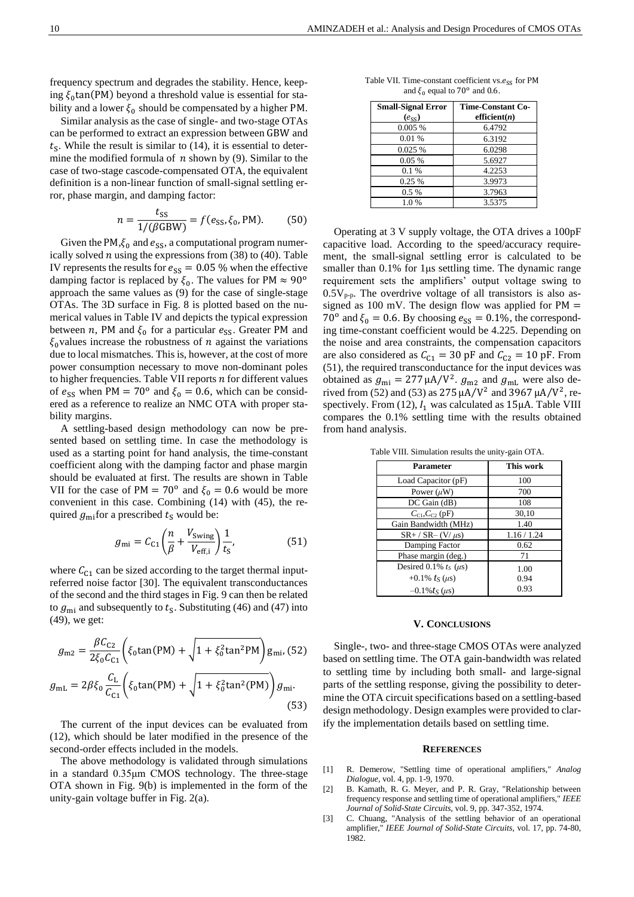frequency spectrum and degrades the stability. Hence, keeping  $\xi_0 \tan(PM)$  beyond a threshold value is essential for stability and a lower  $\xi_0$  should be compensated by a higher PM.

Similar analysis as the case of single- and two-stage OTAs can be performed to extract an expression between GBW and  $t<sub>S</sub>$ . While the result is similar to (14), it is essential to determine the modified formula of  $n$  shown by (9). Similar to the case of two-stage cascode-compensated OTA, the equivalent definition is a non-linear function of small-signal settling error, phase margin, and damping factor:

$$
n = \frac{t_{\rm SS}}{1/(\beta \text{GBW})} = f(e_{\rm SS}, \xi_0, \text{PM}).\tag{50}
$$

Given the PM, $\xi_0$  and  $e_{SS}$ , a computational program numerically solved  $n$  using the expressions from (38) to (40). Table IV represents the results for  $e_{SS} = 0.05$  % when the effective damping factor is replaced by  $\xi_0$ . The values for PM  $\approx 90^\circ$ approach the same values as (9) for the case of single-stage OTAs. The 3D surface in Fig. 8 is plotted based on the numerical values in Table IV and depicts the typical expression between *n*, PM and  $\xi_0$  for a particular  $e_{SS}$ . Greater PM and  $\xi_0$  values increase the robustness of *n* against the variations due to local mismatches. This is, however, at the cost of more power consumption necessary to move non-dominant poles to higher frequencies. Table VII reports  $n$  for different values of  $e_{SS}$  when PM = 70<sup>o</sup> and  $\xi_0 = 0.6$ , which can be considered as a reference to realize an NMC OTA with proper stability margins.

A settling-based design methodology can now be presented based on settling time. In case the methodology is used as a starting point for hand analysis, the time-constant coefficient along with the damping factor and phase margin should be evaluated at first. The results are shown in Table VII for the case of PM =  $70^{\circ}$  and  $\xi_0 = 0.6$  would be more convenient in this case. Combining (14) with (45), the required  $g_{\text{mi}}$  for a prescribed  $t_s$  would be:

$$
g_{\rm mi} = C_{\rm C1} \left( \frac{n}{\beta} + \frac{V_{\rm Swing}}{V_{\rm eff,i}} \right) \frac{1}{t_{\rm s}},\tag{51}
$$

where  $C_{c1}$  can be sized according to the target thermal inputreferred noise factor [\[30\]](#page-10-18). The equivalent transconductances of the second and the third stages in Fig. 9 can then be related to  $g_{\text{mi}}$  and subsequently to  $t_s$ . Substituting (46) and (47) into (49), we get:

$$
g_{\rm m2} = \frac{\beta C_{\rm C2}}{2\xi_0 C_{\rm C1}} \left( \xi_0 \tan(\text{PM}) + \sqrt{1 + \xi_0^2 \tan^2 \text{PM}} \right) g_{\rm mi}, (52)
$$

$$
g_{\rm mL} = 2\beta \xi_0 \frac{C_{\rm L}}{C_{\rm C1}} \left( \xi_0 \tan(\text{PM}) + \sqrt{1 + \xi_0^2 \tan^2(\text{PM})} \right) g_{\rm mi}.
$$
(53)

The current of the input devices can be evaluated from (12), which should be later modified in the presence of the second-order effects included in the models.

The above methodology is validated through simulations in a standard 0.35μm CMOS technology. The three-stage OTA shown in Fig. 9(b) is implemented in the form of the unity-gain voltage buffer in Fig. 2(a).

Table VII. Time-constant coefficient vs. $e_{SS}$  for PM and  $\xi_0$  equal to 70<sup>o</sup> and 0.6.

| <b>Small-Signal Error</b> | <b>Time-Constant Co-</b> |
|---------------------------|--------------------------|
| $(e_{ss})$                | efficient $(n)$          |
| 0.005%                    | 6.4792                   |
| 0.01 %                    | 6.3192                   |
| 0.025 %                   | 6.0298                   |
| 0.05%                     | 5.6927                   |
| 0.1%                      | 4.2253                   |
| 0.25%                     | 3.9973                   |
| $0.5\%$                   | 3.7963                   |
| 1.0%                      | 3.5375                   |

Operating at 3 V supply voltage, the OTA drives a 100pF capacitive load. According to the speed/accuracy requirement, the small-signal settling error is calculated to be smaller than 0.1% for 1μs settling time. The dynamic range requirement sets the amplifiers' output voltage swing to  $0.5V_{\text{p-p}}$ . The overdrive voltage of all transistors is also assigned as 100 mV. The design flow was applied for  $PM =$ 70<sup>o</sup> and  $\xi_0 = 0.6$ . By choosing  $e_{SS} = 0.1\%$ , the corresponding time-constant coefficient would be 4.225. Depending on the noise and area constraints, the compensation capacitors are also considered as  $C_{C1} = 30$  pF and  $C_{C2} = 10$  pF. From (51), the required transconductance for the input devices was obtained as  $g_{\text{mi}} = 277 \mu A/V^2$ .  $g_{\text{m2}}$  and  $g_{\text{mL}}$  were also derived from (52) and (53) as 275  $\mu$ A/V<sup>2</sup> and 3967  $\mu$ A/V<sup>2</sup>, respectively. From (12),  $I_1$  was calculated as 15μA. Table VIII compares the 0.1% settling time with the results obtained from hand analysis.

Table VIII. Simulation results the unity-gain OTA.

| Parameter                     | This work   |
|-------------------------------|-------------|
| Load Capacitor (pF)           | 100         |
| Power $(\mu W)$               | 700         |
| $DC$ Gain $(dB)$              | 108         |
| $C_{C1}$ , $C_{C2}$ (pF)      | 30,10       |
| Gain Bandwidth (MHz)          | 1.40        |
| $SR+ / SR- (V/\mu s)$         | 1.16 / 1.24 |
| Damping Factor                | 0.62        |
| Phase margin (deg.)           | 71          |
| Desired 0.1% $t_s$ ( $\mu$ s) | 1.00        |
| +0.1% $t_S (\mu s)$           | 0.94        |
| $-0.1\%$ ts ( $\mu$ s)        | 0.93        |

#### **V. CONCLUSIONS**

Single-, two- and three-stage CMOS OTAs were analyzed based on settling time. The OTA gain-bandwidth was related to settling time by including both small- and large-signal parts of the settling response, giving the possibility to determine the OTA circuit specifications based on a settling-based design methodology. Design examples were provided to clarify the implementation details based on settling time.

#### **REFERENCES**

- <span id="page-9-0"></span>[1] R. Demerow, "Settling time of operational amplifiers," *Analog Dialogue,* vol. 4, pp. 1-9, 1970.
- [2] B. Kamath, R. G. Meyer, and P. R. Gray, "Relationship between frequency response and settling time of operational amplifiers," *IEEE Journal of Solid-State Circuits,* vol. 9, pp. 347-352, 1974.
- <span id="page-9-1"></span>[3] C. Chuang, "Analysis of the settling behavior of an operational amplifier," *IEEE Journal of Solid-State Circuits,* vol. 17, pp. 74-80, 1982.